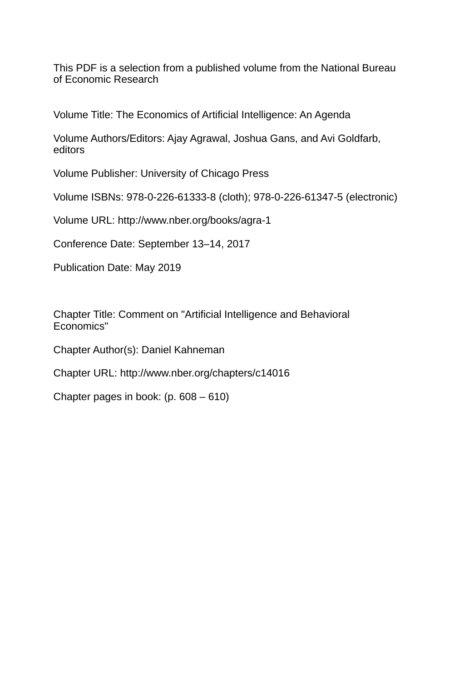This PDF is a selection from a published volume from the National Bureau of Economic Research

Volume Title: The Economics of Artificial Intelligence: An Agenda

Volume Authors/Editors: Ajay Agrawal, Joshua Gans, and Avi Goldfarb, editors

Volume Publisher: University of Chicago Press

Volume ISBNs: 978-0-226-61333-8 (cloth); 978-0-226-61347-5 (electronic)

Volume URL: http://www.nber.org/books/agra-1

Conference Date: September 13–14, 2017

Publication Date: May 2019

Chapter Title: Comment on "Artificial Intelligence and Behavioral Economics"

Chapter Author(s): Daniel Kahneman

Chapter URL: http://www.nber.org/chapters/c14016

Chapter pages in book: (p. 608 – 610)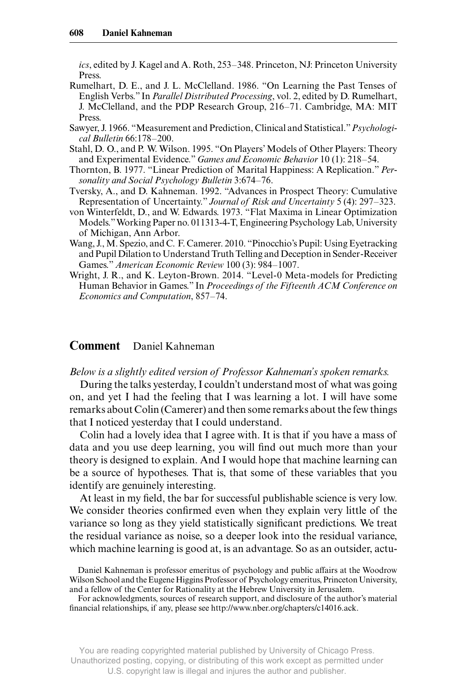*ics*, edited by J. Kagel and A. Roth, 253– 348. Princeton, NJ: Princeton University Press.

- Rumelhart, D. E., and J. L. McClelland. 1986. "On Learning the Past Tenses of English Verbs." In *Parallel Distributed Processing*, vol. 2, edited by D. Rumelhart, J. McClelland, and the PDP Research Group, 216–71. Cambridge, MA: MIT Press.
- Sawyer, J. 1966. "Measurement and Prediction, Clinical and Statistical." *Psychological Bulletin* 66:178– 200.
- Stahl, D. O., and P. W. Wilson. 1995. "On Players' Models of Other Players: Theory and Experimental Evidence." Games and Economic Behavior 10 (1): 218-54.
- Thornton, B. 1977. "Linear Prediction of Marital Happiness: A Replication." *Personality and Social Psychology Bulletin* 3:674– 76.
- Tversky, A., and D. Kahneman. 1992. "Advances in Prospect Theory: Cumulative Representation of Uncertainty." *Journal of Risk and Uncertainty* 5 (4): 297– 323.
- von Winterfeldt, D., and W. Edwards. 1973. "Flat Maxima in Linear Optimization Models." Working Paper no. 011313-4-T, Engineering Psychology Lab, University of Michigan, Ann Arbor.
- Wang, J., M. Spezio, and C. F. Camerer. 2010. "Pinocchio's Pupil: Using Eyetracking and Pupil Dilation to Understand Truth Telling and Deception in Sender- Receiver Games." *American Economic Review* 100 (3): 984– 1007.
- Wright, J. R., and K. Leyton-Brown. 2014. "Level-0 Meta-models for Predicting Human Behavior in Games." In *Proceedings of the Fifteenth ACM Conference on Economics and Computation*, 857– 74.

## **Comment** Daniel Kahneman

## *Below is a slightly edited version of Professor Kahneman's spoken remarks.*

During the talks yesterday, I couldn't understand most of what was going on, and yet I had the feeling that I was learning a lot. I will have some remarks about Colin (Camerer) and then some remarks about the few things that I noticed yesterday that I could understand.

Colin had a lovely idea that I agree with. It is that if you have a mass of data and you use deep learning, you will find out much more than your theory is designed to explain. And I would hope that machine learning can be a source of hypotheses. That is, that some of these variables that you identify are genuinely interesting.

At least in my field, the bar for successful publishable science is very low. We consider theories confirmed even when they explain very little of the variance so long as they yield statistically significant predictions. We treat the residual variance as noise, so a deeper look into the residual variance, which machine learning is good at, is an advantage. So as an outsider, actu-

For acknowledgments, sources of research support, and disclosure of the author's material financial relationships, if any, please see http://www.nber.org/chapters/c14016.ack.

You are reading copyrighted material published by University of Chicago Press. Unauthorized posting, copying, or distributing of this work except as permitted under U.S. copyright law is illegal and injures the author and publisher.

Daniel Kahneman is professor emeritus of psychology and public affairs at the Woodrow Wilson School and the Eugene Higgins Professor of Psychology emeritus, Princeton University, and a fellow of the Center for Rationality at the Hebrew University in Jerusalem.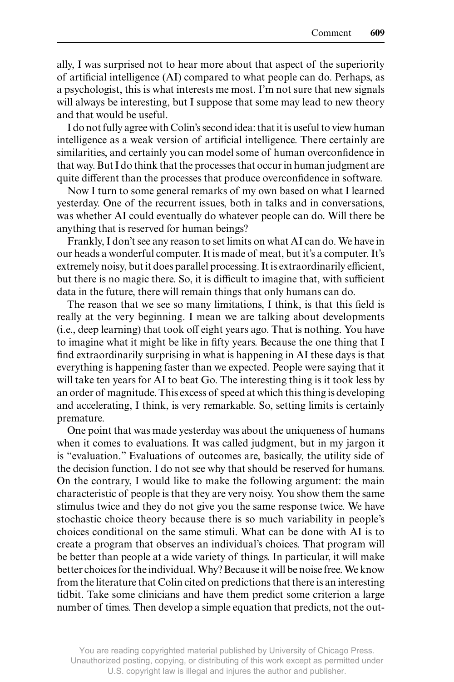ally, I was surprised not to hear more about that aspect of the superiority of artificial intelligence (AI) compared to what people can do. Perhaps, as a psychologist, this is what interests me most. I'm not sure that new signals will always be interesting, but I suppose that some may lead to new theory and that would be useful.

I do not fully agree with Colin's second idea: that it is useful to view human intelligence as a weak version of artificial intelligence. There certainly are similarities, and certainly you can model some of human overconfidence in that way. But I do think that the processes that occur in human judgment are quite different than the processes that produce overconfidence in software.

Now I turn to some general remarks of my own based on what I learned yesterday. One of the recurrent issues, both in talks and in conversations, was whether AI could eventually do whatever people can do. Will there be anything that is reserved for human beings?

Frankly, I don't see any reason to set limits on what AI can do. We have in our heads a wonderful computer. It is made of meat, but it's a computer. It's extremely noisy, but it does parallel processing. It is extraordinarily efficient, but there is no magic there. So, it is difficult to imagine that, with sufficient data in the future, there will remain things that only humans can do.

The reason that we see so many limitations, I think, is that this field is really at the very beginning. I mean we are talking about developments (i.e., deep learning) that took off eight years ago. That is nothing. You have to imagine what it might be like in fifty years. Because the one thing that I find extraordinarily surprising in what is happening in AI these days is that everything is happening faster than we expected. People were saying that it will take ten years for AI to beat Go. The interesting thing is it took less by an order of magnitude. This excess of speed at which this thing is developing and accelerating, I think, is very remarkable. So, setting limits is certainly premature.

One point that was made yesterday was about the uniqueness of humans when it comes to evaluations. It was called judgment, but in my jargon it is "evaluation." Evaluations of outcomes are, basically, the utility side of the decision function. I do not see why that should be reserved for humans. On the contrary, I would like to make the following argument: the main characteristic of people is that they are very noisy. You show them the same stimulus twice and they do not give you the same response twice. We have stochastic choice theory because there is so much variability in people's choices conditional on the same stimuli. What can be done with AI is to create a program that observes an individual's choices. That program will be better than people at a wide variety of things. In particular, it will make better choices for the individual. Why? Because it will be noise free. We know from the literature that Colin cited on predictions that there is an interesting tidbit. Take some clinicians and have them predict some criterion a large number of times. Then develop a simple equation that predicts, not the out